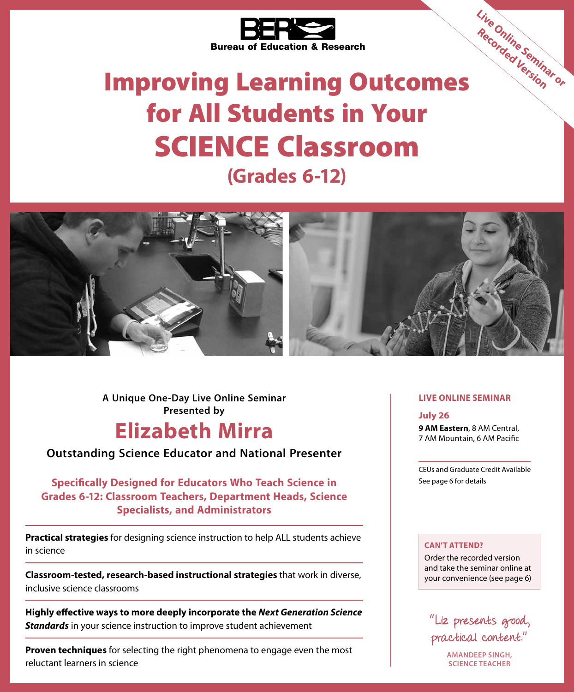

# Improving Learning Outcomes for All Students in Your SCIENCE Classroom **(Grades 6-12) Live Online Seminar or Recorded Version**



**A Unique One-Day Live Online Seminar Presented by**

## **Elizabeth Mirra**

**Outstanding Science Educator and National Presenter**

**Specifically Designed for Educators Who Teach Science in Grades 6-12: Classroom Teachers, Department Heads, Science Specialists, and Administrators**

**Practical strategies** for designing science instruction to help ALL students achieve in science

**Classroom-tested, research-based instructional strategies** that work in diverse, inclusive science classrooms

**Highly effective ways to more deeply incorporate the** *Next Generation Science Standards* in your science instruction to improve student achievement

**Proven techniques** for selecting the right phenomena to engage even the most reluctant learners in science

#### **LIVE ONLINE SEMINAR**

**July 26 9 AM Eastern**, 8 AM Central, 7 AM Mountain, 6 AM Pacific

CEUs and Graduate Credit Available See page 6 for details

#### **CAN'T ATTEND?**

Order the recorded version and take the seminar online at your convenience (see page 6)



**AMANDEEP SINGH, SCIENCE TEACHER**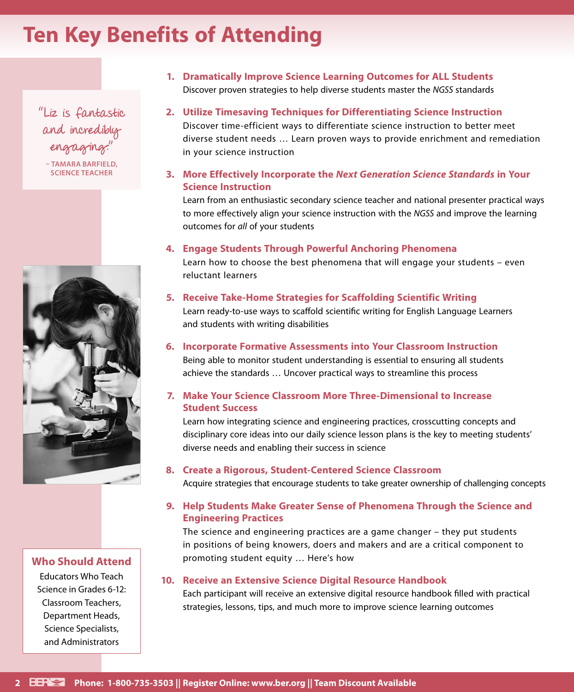## **Ten Key Benefits of Attending**

"Liz is fantastic and incredibly engaging."

**– TAMARA BARFIELD, SCIENCE TEACHER**



#### **Who Should Attend**

Educators Who Teach Science in Grades 6-12: Classroom Teachers, Department Heads, Science Specialists, and Administrators

- **1. Dramatically Improve Science Learning Outcomes for ALL Students** Discover proven strategies to help diverse students master the *NGSS* standards
- **2. Utilize Timesaving Techniques for Differentiating Science Instruction** Discover time-efficient ways to differentiate science instruction to better meet diverse student needs … Learn proven ways to provide enrichment and remediation in your science instruction
- **3. More Effectively Incorporate the** *Next Generation Science Standards* **in Your Science Instruction**

Learn from an enthusiastic secondary science teacher and national presenter practical ways to more effectively align your science instruction with the *NGSS* and improve the learning outcomes for *all* of your students

#### **4. Engage Students Through Powerful Anchoring Phenomena**

Learn how to choose the best phenomena that will engage your students – even reluctant learners

#### **5. Receive Take-Home Strategies for Scaffolding Scientific Writing**

Learn ready-to-use ways to scaffold scientific writing for English Language Learners and students with writing disabilities

#### **6. Incorporate Formative Assessments into Your Classroom Instruction**

Being able to monitor student understanding is essential to ensuring all students achieve the standards … Uncover practical ways to streamline this process

#### **7. Make Your Science Classroom More Three-Dimensional to Increase Student Success**

Learn how integrating science and engineering practices, crosscutting concepts and disciplinary core ideas into our daily science lesson plans is the key to meeting students' diverse needs and enabling their success in science

#### **8. Create a Rigorous, Student-Centered Science Classroom**

Acquire strategies that encourage students to take greater ownership of challenging concepts

#### **9. Help Students Make Greater Sense of Phenomena Through the Science and Engineering Practices**

The science and engineering practices are a game changer – they put students in positions of being knowers, doers and makers and are a critical component to promoting student equity … Here's how

#### **10. Receive an Extensive Science Digital Resource Handbook**

Each participant will receive an extensive digital resource handbook filled with practical strategies, lessons, tips, and much more to improve science learning outcomes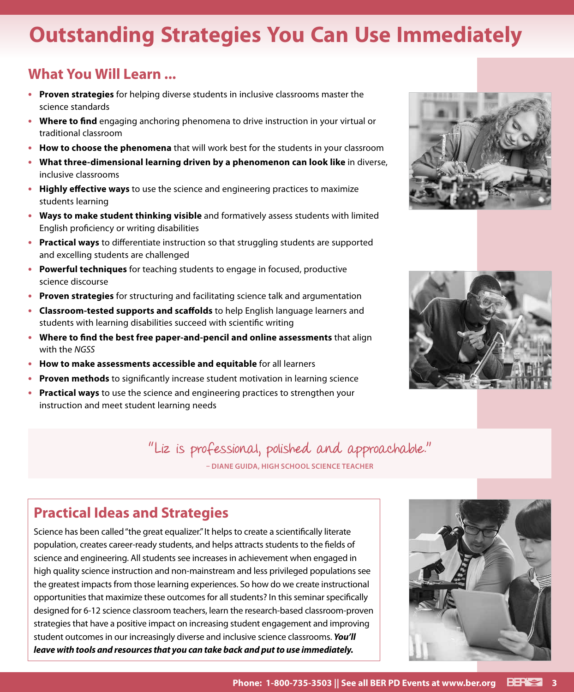## **Outstanding Strategies You Can Use Immediately**

### **What You Will Learn ...**

- **• Proven strategies** for helping diverse students in inclusive classrooms master the science standards
- **• Where to find** engaging anchoring phenomena to drive instruction in your virtual or traditional classroom
- **• How to choose the phenomena** that will work best for the students in your classroom
- **• What three-dimensional learning driven by a phenomenon can look like** in diverse, inclusive classrooms
- **• Highly effective ways** to use the science and engineering practices to maximize students learning
- **• Ways to make student thinking visible** and formatively assess students with limited English proficiency or writing disabilities
- **• Practical ways** to differentiate instruction so that struggling students are supported and excelling students are challenged
- **• Powerful techniques** for teaching students to engage in focused, productive science discourse
- **• Proven strategies** for structuring and facilitating science talk and argumentation
- **• Classroom-tested supports and scaffolds** to help English language learners and students with learning disabilities succeed with scientific writing
- **• Where to find the best free paper-and-pencil and online assessments** that align with the *NGSS*
- **• How to make assessments accessible and equitable** for all learners
- **• Proven methods** to significantly increase student motivation in learning science
- **• Practical ways** to use the science and engineering practices to strengthen your instruction and meet student learning needs

"Liz is professional, polished and approachable."

**– DIANE GUIDA, HIGH SCHOOL SCIENCE TEACHER**

### **Practical Ideas and Strategies**

Science has been called "the great equalizer." It helps to create a scientifically literate population, creates career-ready students, and helps attracts students to the fields of science and engineering. All students see increases in achievement when engaged in high quality science instruction and non-mainstream and less privileged populations see the greatest impacts from those learning experiences. So how do we create instructional opportunities that maximize these outcomes for all students? In this seminar specifically designed for 6-12 science classroom teachers, learn the research-based classroom-proven strategies that have a positive impact on increasing student engagement and improving student outcomes in our increasingly diverse and inclusive science classrooms. *You'll leave with tools and resources that you can take back and put to use immediately.*





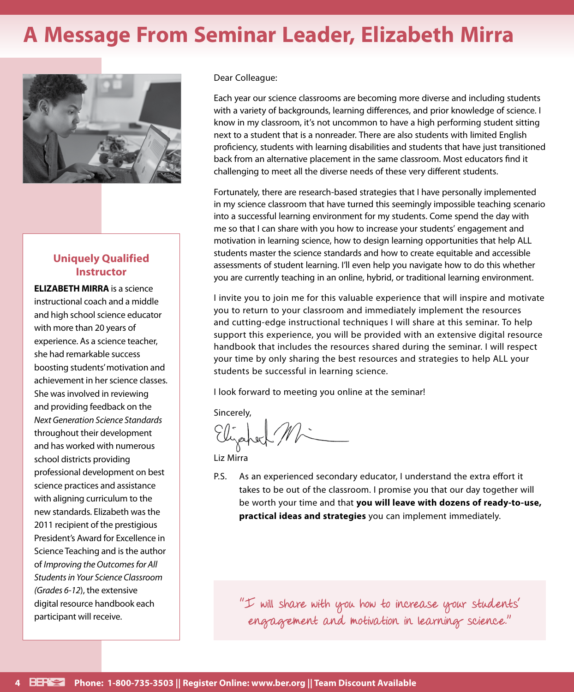## **A Message From Seminar Leader, Elizabeth Mirra**



#### **Uniquely Qualified Instructor**

**ELIZABETH MIRRA** is a science instructional coach and a middle and high school science educator with more than 20 years of experience. As a science teacher, she had remarkable success boosting students' motivation and achievement in her science classes. She was involved in reviewing and providing feedback on the *Next Generation Science Standards* throughout their development and has worked with numerous school districts providing professional development on best science practices and assistance with aligning curriculum to the new standards. Elizabeth was the 2011 recipient of the prestigious President's Award for Excellence in Science Teaching and is the author of *Improving the Outcomes for All Students in Your Science Classroom (Grades 6-12*), the extensive digital resource handbook each participant will receive.

Dear Colleague:

Each year our science classrooms are becoming more diverse and including students with a variety of backgrounds, learning differences, and prior knowledge of science. I know in my classroom, it's not uncommon to have a high performing student sitting next to a student that is a nonreader. There are also students with limited English proficiency, students with learning disabilities and students that have just transitioned back from an alternative placement in the same classroom. Most educators find it challenging to meet all the diverse needs of these very different students.

Fortunately, there are research-based strategies that I have personally implemented in my science classroom that have turned this seemingly impossible teaching scenario into a successful learning environment for my students. Come spend the day with me so that I can share with you how to increase your students' engagement and motivation in learning science, how to design learning opportunities that help ALL students master the science standards and how to create equitable and accessible assessments of student learning. I'll even help you navigate how to do this whether you are currently teaching in an online, hybrid, or traditional learning environment.

I invite you to join me for this valuable experience that will inspire and motivate you to return to your classroom and immediately implement the resources and cutting-edge instructional techniques I will share at this seminar. To help support this experience, you will be provided with an extensive digital resource handbook that includes the resources shared during the seminar. I will respect your time by only sharing the best resources and strategies to help ALL your students be successful in learning science.

I look forward to meeting you online at the seminar!

Sincerely,

Liz Mirra

P.S. As an experienced secondary educator, I understand the extra effort it takes to be out of the classroom. I promise you that our day together will be worth your time and that **you will leave with dozens of ready-to-use, practical ideas and strategies** you can implement immediately.

"I will share with you how to increase your students' engagement and motivation in learning science."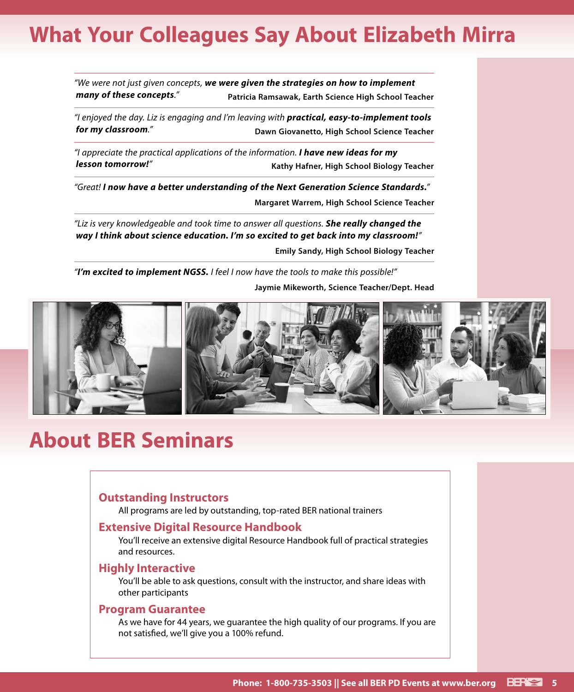## **What Your Colleagues Say About Elizabeth Mirra**

*"We were not just given concepts, we were given the strategies on how to implement many of these concepts."* **Patricia Ramsawak, Earth Science High School Teacher**

*"I enjoyed the day. Liz is engaging and I'm leaving with practical, easy-to-implement tools for my classroom."* **Dawn Giovanetto, High School Science Teacher**

*"I appreciate the practical applications of the information. I have new ideas for my lesson tomorrow!"* **Kathy Hafner, High School Biology Teacher**

*"Great! I now have a better understanding of the Next Generation Science Standards."*

**Margaret Warrem, High School Science Teacher**

*"Liz is very knowledgeable and took time to answer all questions. She really changed the way I think about science education. I'm so excited to get back into my classroom!"*

**Emily Sandy, High School Biology Teacher**

*"I'm excited to implement NGSS. I feel I now have the tools to make this possible!"*

**Jaymie Mikeworth, Science Teacher/Dept. Head**



## **About BER Seminars**

#### **Outstanding Instructors**

All programs are led by outstanding, top-rated BER national trainers

#### **Extensive Digital Resource Handbook**

You'll receive an extensive digital Resource Handbook full of practical strategies and resources.

#### **Highly Interactive**

You'll be able to ask questions, consult with the instructor, and share ideas with other participants

#### **Program Guarantee**

As we have for 44 years, we guarantee the high quality of our programs. If you are not satisfied, we'll give you a 100% refund.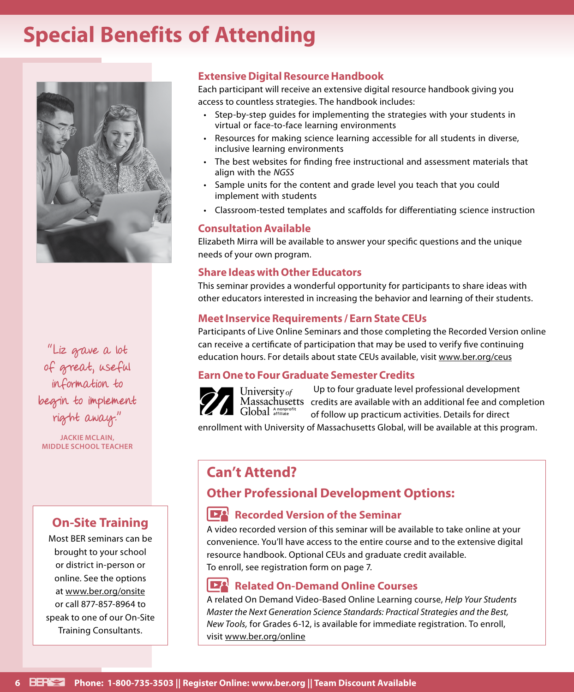## **Special Benefits of Attending**



"Liz gave a lot of great, useful information to begin to implement right away."

**JACKIE MCLAIN, MIDDLE SCHOOL TEACHER**

### **On-Site Training**

Most BER seminars can be brought to your school or district in-person or online. See the options at www.ber.org/onsite or call 877-857-8964 to speak to one of our On-Site Training Consultants.

#### **Extensive Digital Resource Handbook**

Each participant will receive an extensive digital resource handbook giving you access to countless strategies. The handbook includes:

- Step-by-step guides for implementing the strategies with your students in virtual or face-to-face learning environments
- Resources for making science learning accessible for all students in diverse, inclusive learning environments
- The best websites for finding free instructional and assessment materials that align with the *NGSS*
- Sample units for the content and grade level you teach that you could implement with students
- Classroom-tested templates and scaffolds for differentiating science instruction

#### **Consultation Available**

Elizabeth Mirra will be available to answer your specific questions and the unique needs of your own program.

#### **Share Ideas with Other Educators**

This seminar provides a wonderful opportunity for participants to share ideas with other educators interested in increasing the behavior and learning of their students.

#### **Meet Inservice Requirements / Earn State CEUs**

Participants of Live Online Seminars and those completing the Recorded Version online can receive a certificate of participation that may be used to verify five continuing education hours. For details about state CEUs available, visit www.ber.org/ceus

#### **Earn One to Four Graduate Semester Credits**

Up to four graduate level professional development University of Massachusetts credits are available with an additional fee and completion Global Anonprofit of follow up practicum activities. Details for direct

enrollment with University of Massachusetts Global, will be available at this program.

### **Can't Attend?**

### **Other Professional Development Options:**

### **Recorded Version of the Seminar**

A video recorded version of this seminar will be available to take online at your convenience. You'll have access to the entire course and to the extensive digital resource handbook. Optional CEUs and graduate credit available. To enroll, see registration form on page 7.

#### **Related On-Demand Online Courses**

A related On Demand Video-Based Online Learning course, *Help Your Students Master the Next Generation Science Standards: Practical Strategies and the Best, New Tools,* for Grades 6-12, is available for immediate registration. To enroll, visit www.ber.org/online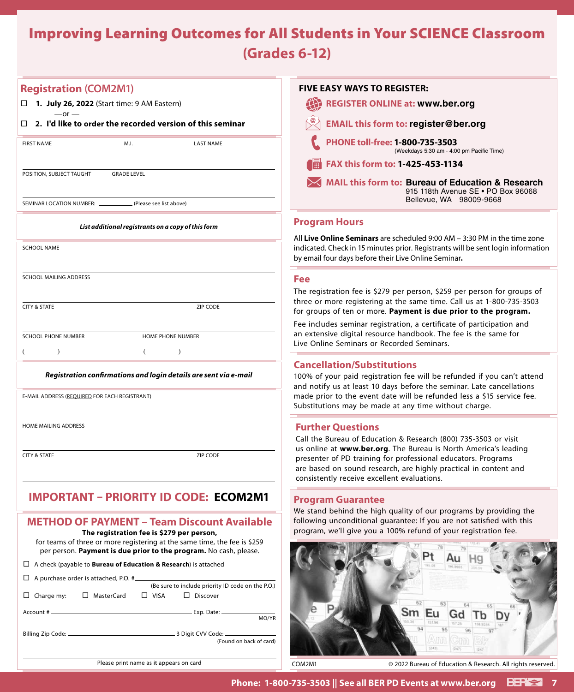## Improving Learning Outcomes for All Students in Your SCIENCE Classroom **(Grades 6-12)**

#### **Registration (COM2M1)**

 $-$ or  $-$ 

**1. July 26, 2022** (Start time: 9 AM Eastern)

#### **2. I'd like to order the recorded version of this seminar**

| <b>FIRST NAME</b>                                               | M.I.                                               | <b>LAST NAME</b> |
|-----------------------------------------------------------------|----------------------------------------------------|------------------|
| POSITION, SUBJECT TAUGHT GRADE LEVEL                            |                                                    |                  |
| SEMINAR LOCATION NUMBER: ______________ (Please see list above) |                                                    |                  |
|                                                                 | List additional registrants on a copy of this form |                  |
| <b>SCHOOL NAME</b>                                              |                                                    |                  |
| <b>SCHOOL MAILING ADDRESS</b>                                   |                                                    |                  |
| <b>CITY &amp; STATE</b>                                         |                                                    | <b>ZIP CODE</b>  |
| <b>SCHOOL PHONE NUMBER</b>                                      | <b>HOME PHONE NUMBER</b>                           |                  |
|                                                                 |                                                    |                  |

#### *Registration confirmations and login details are sent via e-mail*

E-MAIL ADDRESS (REQUIRED FOR EACH REGISTRANT)

HOME MAILING ADDRESS

**CITY & STATE ZIP CODE** 

#### **IMPORTANT – PRIORITY ID CODE: ECOM2M1 Fill in the six digit number on the mail label next to the word "ID" or on your email**

#### **METHOD OF PAYMENT – Team Discount Available The registration fee is \$279 per person,**

for teams of three or more registering at the same time, the fee is \$259 per person. **Payment is due prior to the program.** No cash, please.

#### A check (payable to **Bureau of Education & Research**) is attached

|                                                 |  | (Be sure to include priority ID code on the P.O.) |  |
|-------------------------------------------------|--|---------------------------------------------------|--|
| $\Box$ Charge my: $\Box$ MasterCard $\Box$ VISA |  | $\Box$ Discover                                   |  |
|                                                 |  | MO/YR                                             |  |
|                                                 |  | (Found on back of card)                           |  |

| <b>FIVE EASY WAYS TO REGISTER:</b>                                                                                 |
|--------------------------------------------------------------------------------------------------------------------|
| <b>REGISTER ONLINE at: www.ber.org</b>                                                                             |
| <b>EMAIL this form to: register@ber.org</b>                                                                        |
| PHONE toll-free: 1-800-735-3503<br>(Weekdays 5:30 am - 4:00 pm Pacific Time)                                       |
| FAX this form to: 1-425-453-1134<br>圖                                                                              |
| MAIL this form to: Bureau of Education & Research<br>915 118th Avenue SE . PO Box 96068<br>Bellevue, WA 98009-9668 |
|                                                                                                                    |

#### **Program Hours**

All **Live Online Seminars** are scheduled 9:00 AM – 3:30 PM in the time zone indicated. Check in 15 minutes prior. Registrants will be sent login information by email four days before their Live Online Seminar**.**

#### **Fee**

The registration fee is \$279 per person, \$259 per person for groups of three or more registering at the same time. Call us at 1-800-735-3503 for groups of ten or more. **Payment is due prior to the program.**

Fee includes seminar registration, a certificate of participation and an extensive digital resource handbook. The fee is the same for Live Online Seminars or Recorded Seminars.

#### **Cancellation/Substitutions**

100% of your paid registration fee will be refunded if you can't attend and notify us at least 10 days before the seminar. Late cancellations made prior to the event date will be refunded less a \$15 service fee. Substitutions may be made at any time without charge.

#### **Further Questions**

Call the Bureau of Education & Research (800) 735-3503 or visit us online at **www.ber.org**. The Bureau is North America's leading presenter of PD training for professional educators. Programs are based on sound research, are highly practical in content and consistently receive excellent evaluations.

#### **Program Guarantee**

We stand behind the high quality of our programs by providing the following unconditional guarantee: If you are not satisfied with this program, we'll give you a 100% refund of your registration fee.



Please print name as it appears on card

COM2M1 © 2022 Bureau of Education & Research. All rights reserved.